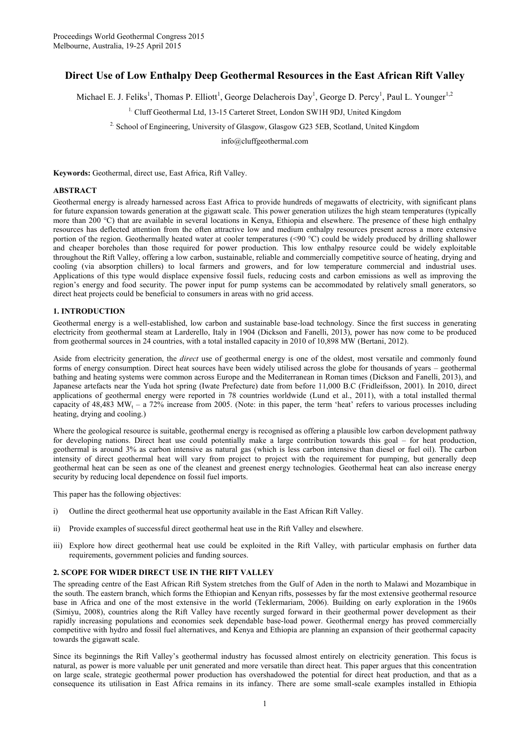# **Direct Use of Low Enthalpy Deep Geothermal Resources in the East African Rift Valley**

Michael E. J. Feliks<sup>1</sup>, Thomas P. Elliott<sup>1</sup>, George Delacherois Day<sup>1</sup>, George D. Percy<sup>1</sup>, Paul L. Younger<sup>1,2</sup>

<sup>1.</sup> Cluff Geothermal Ltd, 13-15 Carteret Street, London SW1H 9DJ, United Kingdom

2. School of Engineering, University of Glasgow, Glasgow G23 5EB, Scotland, United Kingdom

info@cluffgeothermal.com

**Keywords:** Geothermal, direct use, East Africa, Rift Valley.

### **ABSTRACT**

Geothermal energy is already harnessed across East Africa to provide hundreds of megawatts of electricity, with significant plans for future expansion towards generation at the gigawatt scale. This power generation utilizes the high steam temperatures (typically more than 200 °C) that are available in several locations in Kenya, Ethiopia and elsewhere. The presence of these high enthalpy resources has deflected attention from the often attractive low and medium enthalpy resources present across a more extensive portion of the region. Geothermally heated water at cooler temperatures (<90 °C) could be widely produced by drilling shallower and cheaper boreholes than those required for power production. This low enthalpy resource could be widely exploitable throughout the Rift Valley, offering a low carbon, sustainable, reliable and commercially competitive source of heating, drying and cooling (via absorption chillers) to local farmers and growers, and for low temperature commercial and industrial uses. Applications of this type would displace expensive fossil fuels, reducing costs and carbon emissions as well as improving the region's energy and food security. The power input for pump systems can be accommodated by relatively small generators, so direct heat projects could be beneficial to consumers in areas with no grid access.

### **1. INTRODUCTION**

Geothermal energy is a well-established, low carbon and sustainable base-load technology. Since the first success in generating electricity from geothermal steam at Larderello, Italy in 1904 (Dickson and Fanelli, 2013), power has now come to be produced from geothermal sources in 24 countries, with a total installed capacity in 2010 of 10,898 MW (Bertani, 2012).

Aside from electricity generation, the *direct* use of geothermal energy is one of the oldest, most versatile and commonly found forms of energy consumption. Direct heat sources have been widely utilised across the globe for thousands of years – geothermal bathing and heating systems were common across Europe and the Mediterranean in Roman times (Dickson and Fanelli, 2013), and Japanese artefacts near the Yuda hot spring (Iwate Prefecture) date from before 11,000 B.C (Fridleifsson, 2001). In 2010, direct applications of geothermal energy were reported in 78 countries worldwide (Lund et al., 2011), with a total installed thermal capacity of  $48,483$  MW<sub>t</sub> – a  $72\%$  increase from 2005. (Note: in this paper, the term 'heat' refers to various processes including heating, drying and cooling.)

Where the geological resource is suitable, geothermal energy is recognised as offering a plausible low carbon development pathway for developing nations. Direct heat use could potentially make a large contribution towards this goal – for heat production, geothermal is around 3% as carbon intensive as natural gas (which is less carbon intensive than diesel or fuel oil). The carbon intensity of direct geothermal heat will vary from project to project with the requirement for pumping, but generally deep geothermal heat can be seen as one of the cleanest and greenest energy technologies. Geothermal heat can also increase energy security by reducing local dependence on fossil fuel imports.

This paper has the following objectives:

- i) Outline the direct geothermal heat use opportunity available in the East African Rift Valley.
- ii) Provide examples of successful direct geothermal heat use in the Rift Valley and elsewhere.
- iii) Explore how direct geothermal heat use could be exploited in the Rift Valley, with particular emphasis on further data requirements, government policies and funding sources.

### **2. SCOPE FOR WIDER DIRECT USE IN THE RIFT VALLEY**

The spreading centre of the East African Rift System stretches from the Gulf of Aden in the north to Malawi and Mozambique in the south. The eastern branch, which forms the Ethiopian and Kenyan rifts, possesses by far the most extensive geothermal resource base in Africa and one of the most extensive in the world (Teklermariam, 2006). Building on early exploration in the 1960s (Simiyu, 2008), countries along the Rift Valley have recently surged forward in their geothermal power development as their rapidly increasing populations and economies seek dependable base-load power. Geothermal energy has proved commercially competitive with hydro and fossil fuel alternatives, and Kenya and Ethiopia are planning an expansion of their geothermal capacity towards the gigawatt scale.

Since its beginnings the Rift Valley's geothermal industry has focussed almost entirely on electricity generation. This focus is natural, as power is more valuable per unit generated and more versatile than direct heat. This paper argues that this concentration on large scale, strategic geothermal power production has overshadowed the potential for direct heat production, and that as a consequence its utilisation in East Africa remains in its infancy. There are some small-scale examples installed in Ethiopia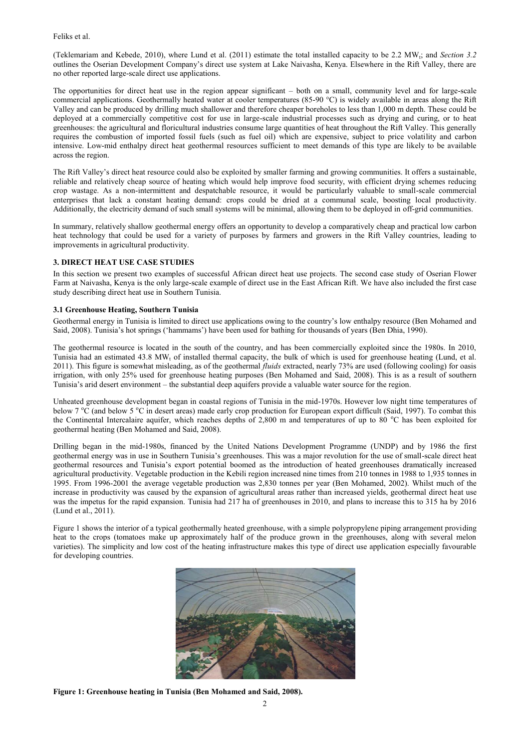Feliks et al.

(Teklemariam and Kebede, 2010), where Lund et al. (2011) estimate the total installed capacity to be 2.2 MW<sub>t</sub>; and *Section 3.2* outlines the Oserian Development Company's direct use system at Lake Naivasha, Kenya. Elsewhere in the Rift Valley, there are no other reported large-scale direct use applications.

The opportunities for direct heat use in the region appear significant – both on a small, community level and for large-scale commercial applications. Geothermally heated water at cooler temperatures (85-90 °C) is widely available in areas along the Rift Valley and can be produced by drilling much shallower and therefore cheaper boreholes to less than 1,000 m depth. These could be deployed at a commercially competitive cost for use in large-scale industrial processes such as drying and curing, or to heat greenhouses: the agricultural and floricultural industries consume large quantities of heat throughout the Rift Valley. This generally requires the combustion of imported fossil fuels (such as fuel oil) which are expensive, subject to price volatility and carbon intensive. Low-mid enthalpy direct heat geothermal resources sufficient to meet demands of this type are likely to be available across the region.

The Rift Valley's direct heat resource could also be exploited by smaller farming and growing communities. It offers a sustainable, reliable and relatively cheap source of heating which would help improve food security, with efficient drying schemes reducing crop wastage. As a non-intermittent and despatchable resource, it would be particularly valuable to small-scale commercial enterprises that lack a constant heating demand: crops could be dried at a communal scale, boosting local productivity. Additionally, the electricity demand of such small systems will be minimal, allowing them to be deployed in off-grid communities.

In summary, relatively shallow geothermal energy offers an opportunity to develop a comparatively cheap and practical low carbon heat technology that could be used for a variety of purposes by farmers and growers in the Rift Valley countries, leading to improvements in agricultural productivity.

### **3. DIRECT HEAT USE CASE STUDIES**

In this section we present two examples of successful African direct heat use projects. The second case study of Oserian Flower Farm at Naivasha, Kenya is the only large-scale example of direct use in the East African Rift. We have also included the first case study describing direct heat use in Southern Tunisia.

## **3.1 Greenhouse Heating, Southern Tunisia**

Geothermal energy in Tunisia is limited to direct use applications owing to the country's low enthalpy resource (Ben Mohamed and Said, 2008). Tunisia's hot springs ('hammams') have been used for bathing for thousands of years (Ben Dhia, 1990).

The geothermal resource is located in the south of the country, and has been commercially exploited since the 1980s. In 2010, Tunisia had an estimated 43.8 MW<sup>t</sup> of installed thermal capacity, the bulk of which is used for greenhouse heating (Lund, et al. 2011). This figure is somewhat misleading, as of the geothermal *fluids* extracted, nearly 73% are used (following cooling) for oasis irrigation, with only 25% used for greenhouse heating purposes (Ben Mohamed and Said, 2008). This is as a result of southern Tunisia's arid desert environment – the substantial deep aquifers provide a valuable water source for the region.

Unheated greenhouse development began in coastal regions of Tunisia in the mid-1970s. However low night time temperatures of below 7 <sup>o</sup>C (and below 5 <sup>o</sup>C in desert areas) made early crop production for European export difficult (Said, 1997). To combat this the Continental Intercalaire aquifer, which reaches depths of 2,800 m and temperatures of up to 80  $^{\circ}$ C has been exploited for geothermal heating (Ben Mohamed and Said, 2008).

Drilling began in the mid-1980s, financed by the United Nations Development Programme (UNDP) and by 1986 the first geothermal energy was in use in Southern Tunisia's greenhouses. This was a major revolution for the use of small-scale direct heat geothermal resources and Tunisia's export potential boomed as the introduction of heated greenhouses dramatically increased agricultural productivity. Vegetable production in the Kebili region increased nine times from 210 tonnes in 1988 to 1,935 tonnes in 1995. From 1996-2001 the average vegetable production was 2,830 tonnes per year (Ben Mohamed, 2002). Whilst much of the increase in productivity was caused by the expansion of agricultural areas rather than increased yields, geothermal direct heat use was the impetus for the rapid expansion. Tunisia had 217 ha of greenhouses in 2010, and plans to increase this to 315 ha by 2016 (Lund et al., 2011).

Figure 1 shows the interior of a typical geothermally heated greenhouse, with a simple polypropylene piping arrangement providing heat to the crops (tomatoes make up approximately half of the produce grown in the greenhouses, along with several melon varieties). The simplicity and low cost of the heating infrastructure makes this type of direct use application especially favourable for developing countries.



**Figure 1: Greenhouse heating in Tunisia (Ben Mohamed and Said, 2008).**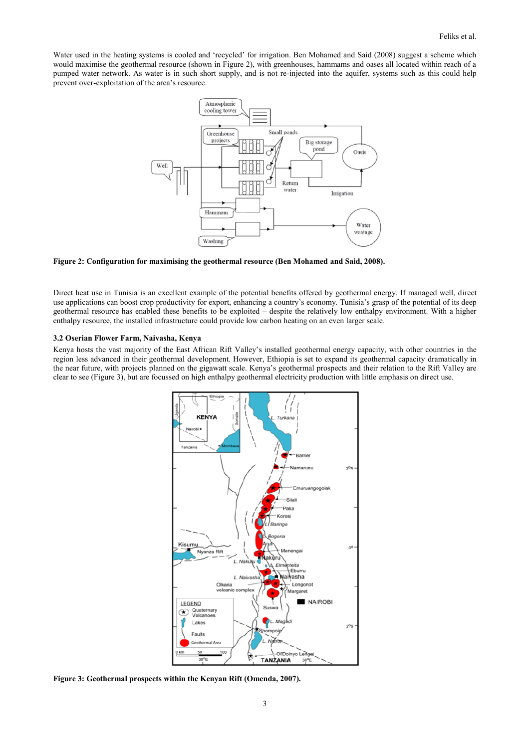Water used in the heating systems is cooled and 'recycled' for irrigation. Ben Mohamed and Said (2008) suggest a scheme which would maximise the geothermal resource (shown in Figure 2), with greenhouses, hammams and oases all located within reach of a pumped water network. As water is in such short supply, and is not re-injected into the aquifer, systems such as this could help prevent over-exploitation of the area's resource.



**Figure 2: Configuration for maximising the geothermal resource (Ben Mohamed and Said, 2008).**

Direct heat use in Tunisia is an excellent example of the potential benefits offered by geothermal energy. If managed well, direct use applications can boost crop productivity for export, enhancing a country's economy. Tunisia's grasp of the potential of its deep geothermal resource has enabled these benefits to be exploited – despite the relatively low enthalpy environment. With a higher enthalpy resource, the installed infrastructure could provide low carbon heating on an even larger scale.

#### **3.2 Oserian Flower Farm, Naivasha, Kenya**

Kenya hosts the vast majority of the East African Rift Valley's installed geothermal energy capacity, with other countries in the region less advanced in their geothermal development. However, Ethiopia is set to expand its geothermal capacity dramatically in the near future, with projects planned on the gigawatt scale. Kenya's geothermal prospects and their relation to the Rift Valley are clear to see (Figure 3), but are focussed on high enthalpy geothermal electricity production with little emphasis on direct use.



**Figure 3: Geothermal prospects within the Kenyan Rift (Omenda, 2007).**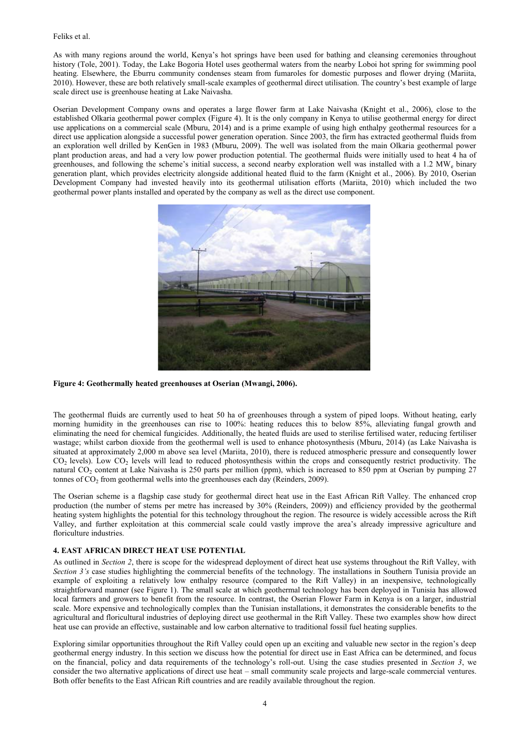As with many regions around the world, Kenya's hot springs have been used for bathing and cleansing ceremonies throughout history (Tole, 2001). Today, the Lake Bogoria Hotel uses geothermal waters from the nearby Loboi hot spring for swimming pool heating. Elsewhere, the Eburru community condenses steam from fumaroles for domestic purposes and flower drying (Mariita, 2010). However, these are both relatively small-scale examples of geothermal direct utilisation. The country's best example of large scale direct use is greenhouse heating at Lake Naivasha.

Oserian Development Company owns and operates a large flower farm at Lake Naivasha (Knight et al., 2006), close to the established Olkaria geothermal power complex (Figure 4). It is the only company in Kenya to utilise geothermal energy for direct use applications on a commercial scale (Mburu, 2014) and is a prime example of using high enthalpy geothermal resources for a direct use application alongside a successful power generation operation. Since 2003, the firm has extracted geothermal fluids from an exploration well drilled by KenGen in 1983 (Mburu, 2009). The well was isolated from the main Olkaria geothermal power plant production areas, and had a very low power production potential. The geothermal fluids were initially used to heat 4 ha of greenhouses, and following the scheme's initial success, a second nearby exploration well was installed with a 1.2 MW<sup>e</sup> binary generation plant, which provides electricity alongside additional heated fluid to the farm (Knight et al., 2006). By 2010, Oserian Development Company had invested heavily into its geothermal utilisation efforts (Mariita, 2010) which included the two geothermal power plants installed and operated by the company as well as the direct use component.



**Figure 4: Geothermally heated greenhouses at Oserian (Mwangi, 2006).**

The geothermal fluids are currently used to heat 50 ha of greenhouses through a system of piped loops. Without heating, early morning humidity in the greenhouses can rise to 100%: heating reduces this to below 85%, alleviating fungal growth and eliminating the need for chemical fungicides. Additionally, the heated fluids are used to sterilise fertilised water, reducing fertiliser wastage; whilst carbon dioxide from the geothermal well is used to enhance photosynthesis (Mburu, 2014) (as Lake Naivasha is situated at approximately 2,000 m above sea level (Mariita, 2010), there is reduced atmospheric pressure and consequently lower  $CO<sub>2</sub>$  levels). Low  $CO<sub>2</sub>$  levels will lead to reduced photosynthesis within the crops and consequently restrict productivity. The natural CO<sub>2</sub> content at Lake Naivasha is 250 parts per million (ppm), which is increased to 850 ppm at Oserian by pumping 27 tonnes of  $CO<sub>2</sub>$  from geothermal wells into the greenhouses each day (Reinders, 2009).

The Oserian scheme is a flagship case study for geothermal direct heat use in the East African Rift Valley. The enhanced crop production (the number of stems per metre has increased by 30% (Reinders, 2009)) and efficiency provided by the geothermal heating system highlights the potential for this technology throughout the region. The resource is widely accessible across the Rift Valley, and further exploitation at this commercial scale could vastly improve the area's already impressive agriculture and floriculture industries.

### **4. EAST AFRICAN DIRECT HEAT USE POTENTIAL**

As outlined in *Section 2*, there is scope for the widespread deployment of direct heat use systems throughout the Rift Valley, with *Section 3's* case studies highlighting the commercial benefits of the technology. The installations in Southern Tunisia provide an example of exploiting a relatively low enthalpy resource (compared to the Rift Valley) in an inexpensive, technologically straightforward manner (see Figure 1). The small scale at which geothermal technology has been deployed in Tunisia has allowed local farmers and growers to benefit from the resource. In contrast, the Oserian Flower Farm in Kenya is on a larger, industrial scale. More expensive and technologically complex than the Tunisian installations, it demonstrates the considerable benefits to the agricultural and floricultural industries of deploying direct use geothermal in the Rift Valley. These two examples show how direct heat use can provide an effective, sustainable and low carbon alternative to traditional fossil fuel heating supplies.

Exploring similar opportunities throughout the Rift Valley could open up an exciting and valuable new sector in the region's deep geothermal energy industry. In this section we discuss how the potential for direct use in East Africa can be determined, and focus on the financial, policy and data requirements of the technology's roll-out. Using the case studies presented in *Section 3*, we consider the two alternative applications of direct use heat – small community scale projects and large-scale commercial ventures. Both offer benefits to the East African Rift countries and are readily available throughout the region.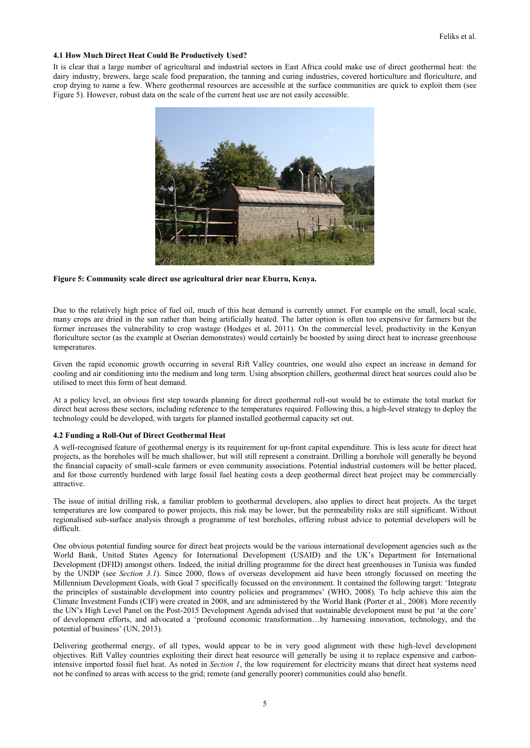### **4.1 How Much Direct Heat Could Be Productively Used?**

It is clear that a large number of agricultural and industrial sectors in East Africa could make use of direct geothermal heat: the dairy industry, brewers, large scale food preparation, the tanning and curing industries, covered horticulture and floriculture, and crop drying to name a few. Where geothermal resources are accessible at the surface communities are quick to exploit them (see Figure 5). However, robust data on the scale of the current heat use are not easily accessible.



**Figure 5: Community scale direct use agricultural drier near Eburru, Kenya.**

Due to the relatively high price of fuel oil, much of this heat demand is currently unmet. For example on the small, local scale, many crops are dried in the sun rather than being artificially heated. The latter option is often too expensive for farmers but the former increases the vulnerability to crop wastage (Hodges et al, 2011). On the commercial level, productivity in the Kenyan floriculture sector (as the example at Oserian demonstrates) would certainly be boosted by using direct heat to increase greenhouse temperatures.

Given the rapid economic growth occurring in several Rift Valley countries, one would also expect an increase in demand for cooling and air conditioning into the medium and long term. Using absorption chillers, geothermal direct heat sources could also be utilised to meet this form of heat demand.

At a policy level, an obvious first step towards planning for direct geothermal roll-out would be to estimate the total market for direct heat across these sectors, including reference to the temperatures required. Following this, a high-level strategy to deploy the technology could be developed, with targets for planned installed geothermal capacity set out.

### **4.2 Funding a Roll-Out of Direct Geothermal Heat**

A well-recognised feature of geothermal energy is its requirement for up-front capital expenditure. This is less acute for direct heat projects, as the boreholes will be much shallower, but will still represent a constraint. Drilling a borehole will generally be beyond the financial capacity of small-scale farmers or even community associations. Potential industrial customers will be better placed, and for those currently burdened with large fossil fuel heating costs a deep geothermal direct heat project may be commercially attractive.

The issue of initial drilling risk, a familiar problem to geothermal developers, also applies to direct heat projects. As the target temperatures are low compared to power projects, this risk may be lower, but the permeability risks are still significant. Without regionalised sub-surface analysis through a programme of test boreholes, offering robust advice to potential developers will be difficult.

One obvious potential funding source for direct heat projects would be the various international development agencies such as the World Bank, United States Agency for International Development (USAID) and the UK's Department for International Development (DFID) amongst others. Indeed, the initial drilling programme for the direct heat greenhouses in Tunisia was funded by the UNDP (see *Section 3.1*). Since 2000, flows of overseas development aid have been strongly focussed on meeting the Millennium Development Goals, with Goal 7 specifically focussed on the environment. It contained the following target: 'Integrate the principles of sustainable development into country policies and programmes' (WHO, 2008). To help achieve this aim the Climate Investment Funds (CIF) were created in 2008, and are administered by the World Bank (Porter et al., 2008). More recently the UN's High Level Panel on the Post-2015 Development Agenda advised that sustainable development must be put 'at the core' of development efforts, and advocated a 'profound economic transformation…by harnessing innovation, technology, and the potential of business' (UN, 2013).

Delivering geothermal energy, of all types, would appear to be in very good alignment with these high-level development objectives. Rift Valley countries exploiting their direct heat resource will generally be using it to replace expensive and carbonintensive imported fossil fuel heat. As noted in *Section 1*, the low requirement for electricity means that direct heat systems need not be confined to areas with access to the grid; remote (and generally poorer) communities could also benefit.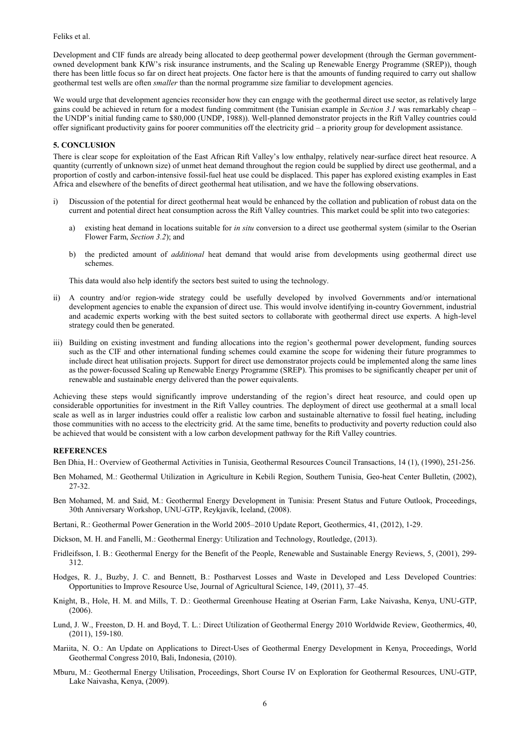Feliks et al.

Development and CIF funds are already being allocated to deep geothermal power development (through the German governmentowned development bank KfW's risk insurance instruments, and the Scaling up Renewable Energy Programme (SREP)), though there has been little focus so far on direct heat projects. One factor here is that the amounts of funding required to carry out shallow geothermal test wells are often *smaller* than the normal programme size familiar to development agencies.

We would urge that development agencies reconsider how they can engage with the geothermal direct use sector, as relatively large gains could be achieved in return for a modest funding commitment (the Tunisian example in *Section 3.1* was remarkably cheap – the UNDP's initial funding came to \$80,000 (UNDP, 1988)). Well-planned demonstrator projects in the Rift Valley countries could offer significant productivity gains for poorer communities off the electricity grid – a priority group for development assistance.

### **5. CONCLUSION**

There is clear scope for exploitation of the East African Rift Valley's low enthalpy, relatively near-surface direct heat resource. A quantity (currently of unknown size) of unmet heat demand throughout the region could be supplied by direct use geothermal, and a proportion of costly and carbon-intensive fossil-fuel heat use could be displaced. This paper has explored existing examples in East Africa and elsewhere of the benefits of direct geothermal heat utilisation, and we have the following observations.

- i) Discussion of the potential for direct geothermal heat would be enhanced by the collation and publication of robust data on the current and potential direct heat consumption across the Rift Valley countries. This market could be split into two categories:
	- a) existing heat demand in locations suitable for *in situ* conversion to a direct use geothermal system (similar to the Oserian Flower Farm, *Section 3.2*); and
	- b) the predicted amount of *additional* heat demand that would arise from developments using geothermal direct use schemes.

This data would also help identify the sectors best suited to using the technology.

- ii) A country and/or region-wide strategy could be usefully developed by involved Governments and/or international development agencies to enable the expansion of direct use. This would involve identifying in-country Government, industrial and academic experts working with the best suited sectors to collaborate with geothermal direct use experts. A high-level strategy could then be generated.
- iii) Building on existing investment and funding allocations into the region's geothermal power development, funding sources such as the CIF and other international funding schemes could examine the scope for widening their future programmes to include direct heat utilisation projects. Support for direct use demonstrator projects could be implemented along the same lines as the power-focussed Scaling up Renewable Energy Programme (SREP). This promises to be significantly cheaper per unit of renewable and sustainable energy delivered than the power equivalents.

Achieving these steps would significantly improve understanding of the region's direct heat resource, and could open up considerable opportunities for investment in the Rift Valley countries. The deployment of direct use geothermal at a small local scale as well as in larger industries could offer a realistic low carbon and sustainable alternative to fossil fuel heating, including those communities with no access to the electricity grid. At the same time, benefits to productivity and poverty reduction could also be achieved that would be consistent with a low carbon development pathway for the Rift Valley countries.

### **REFERENCES**

Ben Dhia, H.: Overview of Geothermal Activities in Tunisia, Geothermal Resources Council Transactions, 14 (1), (1990), 251-256.

- Ben Mohamed, M.: Geothermal Utilization in Agriculture in Kebili Region, Southern Tunisia, Geo-heat Center Bulletin, (2002), 27-32.
- Ben Mohamed, M. and Said, M.: Geothermal Energy Development in Tunisia: Present Status and Future Outlook, Proceedings, 30th Anniversary Workshop, UNU-GTP, Reykjavík, Iceland, (2008).
- Bertani, R.: Geothermal Power Generation in the World 2005–2010 Update Report, Geothermics, 41, (2012), 1-29.
- Dickson, M. H. and Fanelli, M.: Geothermal Energy: Utilization and Technology, Routledge, (2013).
- Fridleifsson, I. B.: Geothermal Energy for the Benefit of the People, Renewable and Sustainable Energy Reviews, 5, (2001), 299- 312.
- Hodges, R. J., Buzby, J. C. and Bennett, B.: Postharvest Losses and Waste in Developed and Less Developed Countries: Opportunities to Improve Resource Use, Journal of Agricultural Science, 149, (2011), 37–45.
- Knight, B., Hole, H. M. and Mills, T. D.: Geothermal Greenhouse Heating at Oserian Farm, Lake Naivasha, Kenya, UNU-GTP, (2006).
- Lund, J. W., Freeston, D. H. and Boyd, T. L.: Direct Utilization of Geothermal Energy 2010 Worldwide Review, Geothermics, 40, (2011), 159-180.
- Mariita, N. O.: An Update on Applications to Direct-Uses of Geothermal Energy Development in Kenya, Proceedings, World Geothermal Congress 2010, Bali, Indonesia, (2010).
- Mburu, M.: Geothermal Energy Utilisation, Proceedings, Short Course IV on Exploration for Geothermal Resources, UNU-GTP, Lake Naivasha, Kenya, (2009).